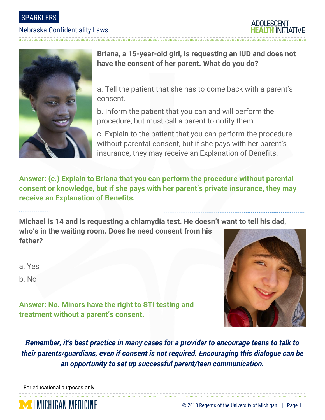SPARKLERS

#### Nebraska Confidentiality Laws





**Briana, a 15-year-old girl, is requesting an IUD and does not have the consent of her parent. What do you do?**

a. Tell the patient that she has to come back with a parent's consent.

b. Inform the patient that you can and will perform the procedure, but must call a parent to notify them.

c. Explain to the patient that you can perform the procedure without parental consent, but if she pays with her parent's insurance, they may receive an Explanation of Benefits.

**Answer: (c.) Explain to Briana that you can perform the procedure without parental consent or knowledge, but if she pays with her parent's private insurance, they may receive an Explanation of Benefits.**

**Michael is 14 and is requesting a chlamydia test. He doesn't want to tell his dad, who's in the waiting room. Does he need consent from his father?**

a. Yes

b. No



**Answer: No. Minors have the right to STI testing and treatment without a parent's consent.**

*Remember, it's best practice in many cases for a provider to encourage teens to talk to their parents/guardians, even if consent is not required. Encouraging this dialogue can be an opportunity to set up successful parent/teen communication.*

For educational purposes only.

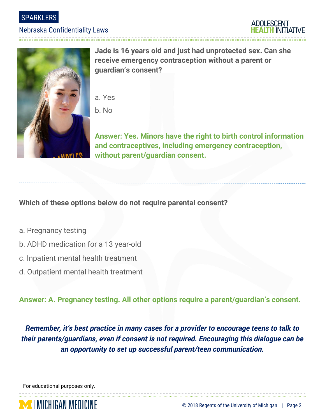**SPARKLERS** 

#### Nebraska Confidentiality Laws



**Jade is 16 years old and just had unprotected sex. Can she receive emergency contraception without a parent or guardian's consent?**

- a. Yes
- b. No

**Answer: Yes. Minors have the right to birth control information and contraceptives, including emergency contraception, without parent/guardian consent.**

**Which of these options below do not require parental consent?**

- a. Pregnancy testing
- b. ADHD medication for a 13 year-old
- c. Inpatient mental health treatment
- d. Outpatient mental health treatment

**Answer: A. Pregnancy testing. All other options require a parent/guardian's consent.**

*Remember, it's best practice in many cases for a provider to encourage teens to talk to their parents/guardians, even if consent is not required. Encouraging this dialogue can be an opportunity to set up successful parent/teen communication.*

For educational purposes only.